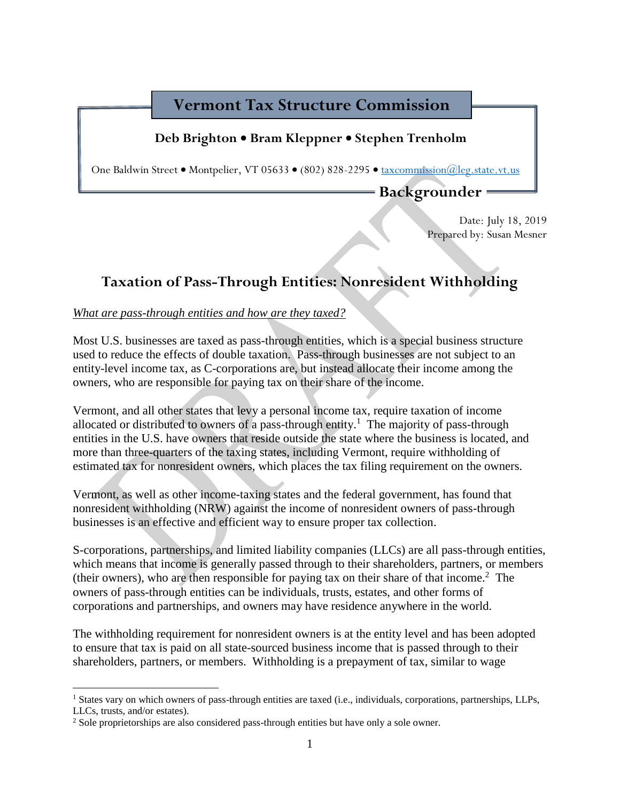## **Vermont Tax Structure Commission**

### **Deb Brighton** • **Bram Kleppner** • **Stephen Trenholm**

One Baldwin Street • Montpelier, VT 05633 • (802) 828-2295 • [taxcommission@leg.state.vt.us](mailto:taxcommission@leg.state.vt.us) 

**Backgrounder**

Date: July 18, 2019 Prepared by: Susan Mesner

# **Taxation of Pass-Through Entities: Nonresident Withholding**

### *What are pass-through entities and how are they taxed?*

Most U.S. businesses are taxed as pass-through entities, which is a special business structure used to reduce the effects of double taxation. Pass-through businesses are not subject to an entity-level income tax, as C-corporations are, but instead allocate their income among the owners, who are responsible for paying tax on their share of the income.

Vermont, and all other states that levy a personal income tax, require taxation of income allocated or distributed to owners of a pass-through entity.<sup>1</sup> The majority of pass-through entities in the U.S. have owners that reside outside the state where the business is located, and more than three-quarters of the taxing states, including Vermont, require withholding of estimated tax for nonresident owners, which places the tax filing requirement on the owners.

Vermont, as well as other income-taxing states and the federal government, has found that nonresident withholding (NRW) against the income of nonresident owners of pass-through businesses is an effective and efficient way to ensure proper tax collection.

S-corporations, partnerships, and limited liability companies (LLCs) are all pass-through entities, which means that income is generally passed through to their shareholders, partners, or members (their owners), who are then responsible for paying tax on their share of that income.<sup>2</sup> The owners of pass-through entities can be individuals, trusts, estates, and other forms of corporations and partnerships, and owners may have residence anywhere in the world.

The withholding requirement for nonresident owners is at the entity level and has been adopted to ensure that tax is paid on all state-sourced business income that is passed through to their shareholders, partners, or members. Withholding is a prepayment of tax, similar to wage

 $\overline{a}$ 

<sup>1</sup> States vary on which owners of pass-through entities are taxed (i.e., individuals, corporations, partnerships, LLPs, LLCs, trusts, and/or estates).

<sup>2</sup> Sole proprietorships are also considered pass-through entities but have only a sole owner.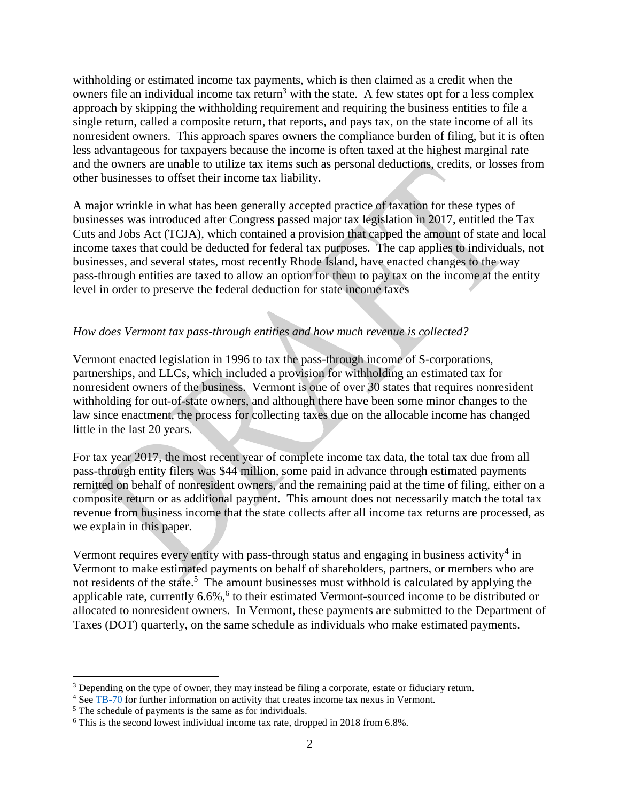withholding or estimated income tax payments, which is then claimed as a credit when the owners file an individual income tax return<sup>3</sup> with the state. A few states opt for a less complex approach by skipping the withholding requirement and requiring the business entities to file a single return, called a composite return, that reports, and pays tax, on the state income of all its nonresident owners. This approach spares owners the compliance burden of filing, but it is often less advantageous for taxpayers because the income is often taxed at the highest marginal rate and the owners are unable to utilize tax items such as personal deductions, credits, or losses from other businesses to offset their income tax liability.

A major wrinkle in what has been generally accepted practice of taxation for these types of businesses was introduced after Congress passed major tax legislation in 2017, entitled the Tax Cuts and Jobs Act (TCJA), which contained a provision that capped the amount of state and local income taxes that could be deducted for federal tax purposes. The cap applies to individuals, not businesses, and several states, most recently Rhode Island, have enacted changes to the way pass-through entities are taxed to allow an option for them to pay tax on the income at the entity level in order to preserve the federal deduction for state income taxes

### *How does Vermont tax pass-through entities and how much revenue is collected?*

Vermont enacted legislation in 1996 to tax the pass-through income of S-corporations, partnerships, and LLCs, which included a provision for withholding an estimated tax for nonresident owners of the business. Vermont is one of over 30 states that requires nonresident withholding for out-of-state owners, and although there have been some minor changes to the law since enactment, the process for collecting taxes due on the allocable income has changed little in the last 20 years.

For tax year 2017, the most recent year of complete income tax data, the total tax due from all pass-through entity filers was \$44 million, some paid in advance through estimated payments remitted on behalf of nonresident owners, and the remaining paid at the time of filing, either on a composite return or as additional payment. This amount does not necessarily match the total tax revenue from business income that the state collects after all income tax returns are processed, as we explain in this paper.

Vermont requires every entity with pass-through status and engaging in business activity<sup>4</sup> in Vermont to make estimated payments on behalf of shareholders, partners, or members who are not residents of the state.<sup>5</sup> The amount businesses must withhold is calculated by applying the applicable rate, currently  $6.6\%$ ,  $6$  to their estimated Vermont-sourced income to be distributed or allocated to nonresident owners. In Vermont, these payments are submitted to the Department of Taxes (DOT) quarterly, on the same schedule as individuals who make estimated payments.

 $\overline{a}$ 

<sup>&</sup>lt;sup>3</sup> Depending on the type of owner, they may instead be filing a corporate, estate or fiduciary return.

<sup>&</sup>lt;sup>4</sup> Se[e TB-70](https://tax.vermont.gov/sites/tax/files/documents/TB-70.pdf) for further information on activity that creates income tax nexus in Vermont.

<sup>5</sup> The schedule of payments is the same as for individuals.

<sup>6</sup> This is the second lowest individual income tax rate, dropped in 2018 from 6.8%.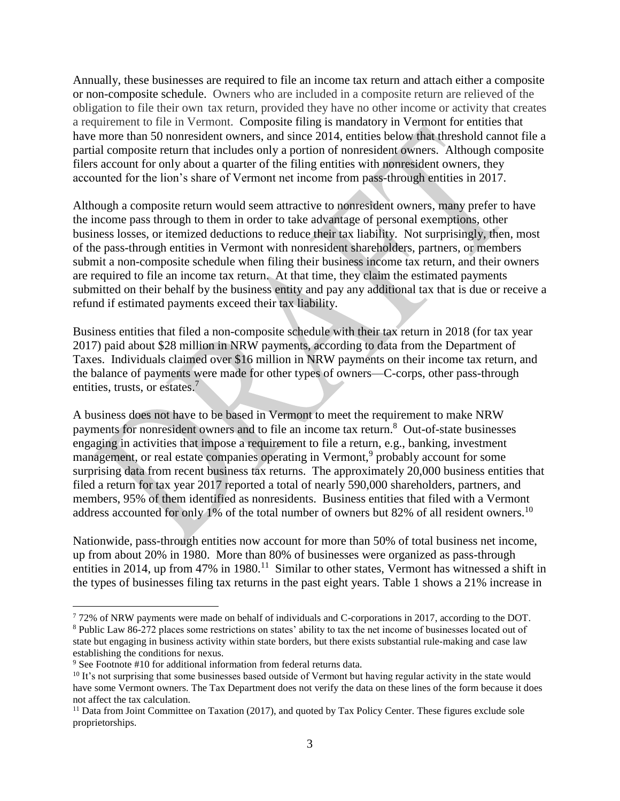Annually, these businesses are required to file an income tax return and attach either a composite or non-composite schedule. Owners who are included in a composite return are relieved of the obligation to file their own tax return, provided they have no other income or activity that creates a requirement to file in Vermont. Composite filing is mandatory in Vermont for entities that have more than 50 nonresident owners, and since 2014, entities below that threshold cannot file a partial composite return that includes only a portion of nonresident owners. Although composite filers account for only about a quarter of the filing entities with nonresident owners, they accounted for the lion's share of Vermont net income from pass-through entities in 2017.

Although a composite return would seem attractive to nonresident owners, many prefer to have the income pass through to them in order to take advantage of personal exemptions, other business losses, or itemized deductions to reduce their tax liability. Not surprisingly, then, most of the pass-through entities in Vermont with nonresident shareholders, partners, or members submit a non-composite schedule when filing their business income tax return, and their owners are required to file an income tax return. At that time, they claim the estimated payments submitted on their behalf by the business entity and pay any additional tax that is due or receive a refund if estimated payments exceed their tax liability.

Business entities that filed a non-composite schedule with their tax return in 2018 (for tax year 2017) paid about \$28 million in NRW payments, according to data from the Department of Taxes. Individuals claimed over \$16 million in NRW payments on their income tax return, and the balance of payments were made for other types of owners—C-corps, other pass-through entities, trusts, or estates.<sup>7</sup>

A business does not have to be based in Vermont to meet the requirement to make NRW payments for nonresident owners and to file an income tax return. 8 Out-of-state businesses engaging in activities that impose a requirement to file a return, e.g., banking, investment management, or real estate companies operating in Vermont,<sup>9</sup> probably account for some surprising data from recent business tax returns. The approximately 20,000 business entities that filed a return for tax year 2017 reported a total of nearly 590,000 shareholders, partners, and members, 95% of them identified as nonresidents. Business entities that filed with a Vermont address accounted for only 1% of the total number of owners but 82% of all resident owners.<sup>10</sup>

Nationwide, pass-through entities now account for more than 50% of total business net income, up from about 20% in 1980. More than 80% of businesses were organized as pass-through entities in 2014, up from 47% in 1980.<sup>11</sup> Similar to other states, Vermont has witnessed a shift in the types of businesses filing tax returns in the past eight years. Table 1 shows a 21% increase in

 $\overline{a}$ <sup>7</sup> 72% of NRW payments were made on behalf of individuals and C-corporations in 2017, according to the DOT.

<sup>8</sup> Public Law 86-272 places some restrictions on states' ability to tax the net income of businesses located out of state but engaging in business activity within state borders, but there exists substantial rule-making and case law establishing the conditions for nexus.

<sup>&</sup>lt;sup>9</sup> See Footnote #10 for additional information from federal returns data.

<sup>&</sup>lt;sup>10</sup> It's not surprising that some businesses based outside of Vermont but having regular activity in the state would have some Vermont owners. The Tax Department does not verify the data on these lines of the form because it does not affect the tax calculation.

<sup>&</sup>lt;sup>11</sup> Data from Joint Committee on Taxation (2017), and quoted by Tax Policy Center. These figures exclude sole proprietorships.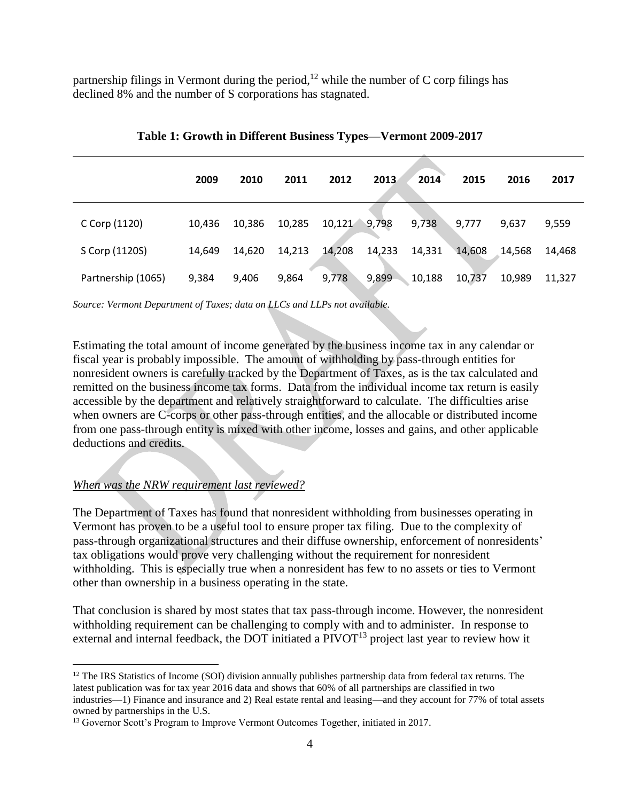partnership filings in Vermont during the period,<sup>12</sup> while the number of  $C$  corp filings has declined 8% and the number of S corporations has stagnated.

|                    | 2009   | 2010   | 2011   | 2012   | 2013   | 2014   | 2015   | 2016   | 2017   |
|--------------------|--------|--------|--------|--------|--------|--------|--------|--------|--------|
| C Corp (1120)      | 10,436 | 10,386 | 10,285 | 10,121 | 9,798  | 9,738  | 9,777  | 9,637  | 9,559  |
| S Corp (1120S)     | 14,649 | 14,620 | 14,213 | 14,208 | 14,233 | 14,331 | 14,608 | 14,568 | 14,468 |
| Partnership (1065) | 9,384  | 9,406  | 9,864  | 9,778  | 9,899  | 10,188 | 10,737 | 10,989 | 11,327 |

**Table 1: Growth in Different Business Types—Vermont 2009-2017**

*Source: Vermont Department of Taxes; data on LLCs and LLPs not available.*

Estimating the total amount of income generated by the business income tax in any calendar or fiscal year is probably impossible. The amount of withholding by pass-through entities for nonresident owners is carefully tracked by the Department of Taxes, as is the tax calculated and remitted on the business income tax forms. Data from the individual income tax return is easily accessible by the department and relatively straightforward to calculate. The difficulties arise when owners are C-corps or other pass-through entities, and the allocable or distributed income from one pass-through entity is mixed with other income, losses and gains, and other applicable deductions and credits.

#### *When was the NRW requirement last reviewed?*

 $\overline{a}$ 

The Department of Taxes has found that nonresident withholding from businesses operating in Vermont has proven to be a useful tool to ensure proper tax filing. Due to the complexity of pass-through organizational structures and their diffuse ownership, enforcement of nonresidents' tax obligations would prove very challenging without the requirement for nonresident withholding. This is especially true when a nonresident has few to no assets or ties to Vermont other than ownership in a business operating in the state.

That conclusion is shared by most states that tax pass-through income. However, the nonresident withholding requirement can be challenging to comply with and to administer. In response to external and internal feedback, the DOT initiated a PIVOT<sup>13</sup> project last year to review how it

 $12$  The IRS Statistics of Income (SOI) division annually publishes partnership data from federal tax returns. The latest publication was for tax year 2016 data and shows that 60% of all partnerships are classified in two industries—1) Finance and insurance and 2) Real estate rental and leasing—and they account for 77% of total assets owned by partnerships in the U.S.

<sup>&</sup>lt;sup>13</sup> Governor Scott's Program to Improve Vermont Outcomes Together, initiated in 2017.